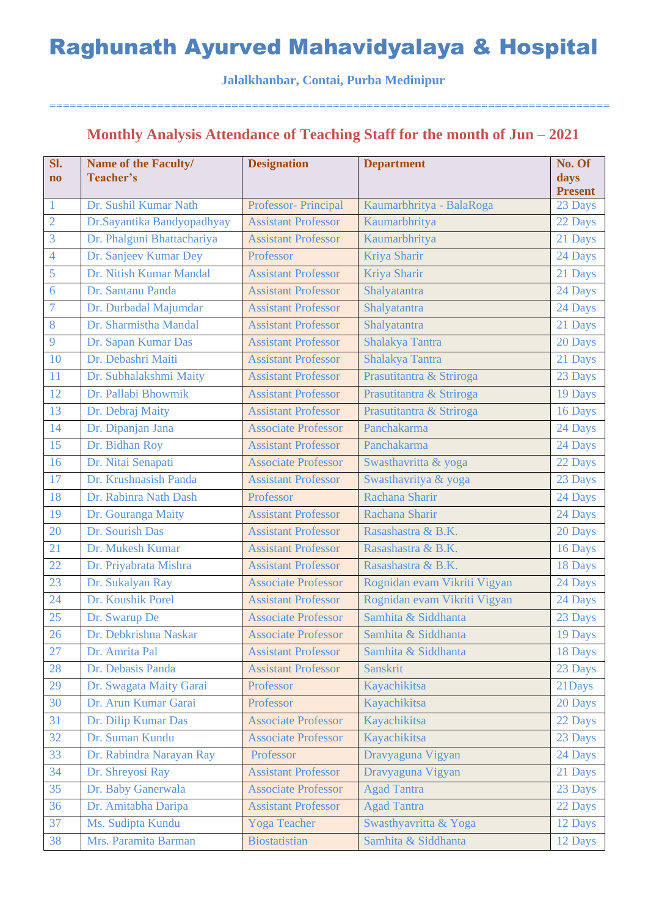#### **Jalalkhanbar, Contai, Purba Medinipur**

===================================================================================

## **Monthly Analysis Attendance of Teaching Staff for the month of Jun – 2021**

| Sl.<br>$\mathbf{no}$ | <b>Name of the Faculty/</b><br>Teacher's | <b>Designation</b>         | <b>Department</b>            | No. Of<br>days<br><b>Present</b> |
|----------------------|------------------------------------------|----------------------------|------------------------------|----------------------------------|
| $\mathbf{1}$         | Dr. Sushil Kumar Nath                    | Professor- Principal       | Kaumarbhritya - BalaRoga     | 23 Days                          |
| $\overline{2}$       | Dr.Sayantika Bandyopadhyay               | <b>Assistant Professor</b> | Kaumarbhritya                | 22 Days                          |
| 3                    | Dr. Phalguni Bhattachariya               | <b>Assistant Professor</b> | Kaumarbhritya                | 21 Days                          |
| $\overline{4}$       | Dr. Sanjeev Kumar Dey                    | Professor                  | Kriya Sharir                 | 24 Days                          |
| 5                    | Dr. Nitish Kumar Mandal                  | <b>Assistant Professor</b> | Kriya Sharir                 | 21 Days                          |
| 6                    | Dr. Santanu Panda                        | <b>Assistant Professor</b> | Shalyatantra                 | 24 Days                          |
| $\overline{7}$       | Dr. Durbadal Majumdar                    | <b>Assistant Professor</b> | Shalyatantra                 | 24 Days                          |
| 8                    | Dr. Sharmistha Mandal                    | <b>Assistant Professor</b> | Shalyatantra                 | 21 Days                          |
| 9                    | Dr. Sapan Kumar Das                      | <b>Assistant Professor</b> | Shalakya Tantra              | 20 Days                          |
| 10                   | Dr. Debashri Maiti                       | <b>Assistant Professor</b> | Shalakya Tantra              | 21 Days                          |
| 11                   | Dr. Subhalakshmi Maity                   | <b>Assistant Professor</b> | Prasutitantra & Striroga     | 23 Days                          |
| 12                   | Dr. Pallabi Bhowmik                      | <b>Assistant Professor</b> | Prasutitantra & Striroga     | 19 Days                          |
| 13                   | Dr. Debraj Maity                         | <b>Assistant Professor</b> | Prasutitantra & Striroga     | 16 Days                          |
| 14                   | Dr. Dipanjan Jana                        | <b>Associate Professor</b> | Panchakarma                  | 24 Days                          |
| 15                   | Dr. Bidhan Roy                           | <b>Assistant Professor</b> | Panchakarma                  | 24 Days                          |
| 16                   | Dr. Nitai Senapati                       | <b>Associate Professor</b> | Swasthavritta & yoga         | 22 Days                          |
| 17                   | Dr. Krushnasish Panda                    | <b>Assistant Professor</b> | Swasthavritya & yoga         | 23 Days                          |
| 18                   | Dr. Rabinra Nath Dash                    | Professor                  | Rachana Sharir               | 24 Days                          |
| 19                   | Dr. Gouranga Maity                       | <b>Assistant Professor</b> | Rachana Sharir               | 24 Days                          |
| 20                   | Dr. Sourish Das                          | <b>Assistant Professor</b> | Rasashastra & B.K.           | 20 Days                          |
| 21                   | Dr. Mukesh Kumar                         | <b>Assistant Professor</b> | Rasashastra & B.K.           | 16 Days                          |
| 22                   | Dr. Priyabrata Mishra                    | <b>Assistant Professor</b> | Rasashastra & B.K.           | 18 Days                          |
| 23                   | Dr. Sukalyan Ray                         | <b>Associate Professor</b> | Rognidan evam Vikriti Vigyan | 24 Days                          |
| 24                   | Dr. Koushik Porel                        | <b>Assistant Professor</b> | Rognidan evam Vikriti Vigyan | 24 Days                          |
| 25                   | Dr. Swarup De                            | <b>Associate Professor</b> | Samhita & Siddhanta          | 23 Days                          |
| 26                   | Dr. Debkrishna Naskar                    | <b>Associate Professor</b> | Samhita & Siddhanta          | 19 Days                          |
| 27                   | Dr. Amrita Pal                           | <b>Assistant Professor</b> | Samhita & Siddhanta          | 18 Days                          |
| 28                   | Dr. Debasis Panda                        | <b>Assistant Professor</b> | Sanskrit                     | 23 Days                          |
| 29                   | Dr. Swagata Maity Garai                  | Professor                  | Kayachikitsa                 | 21Days                           |
| 30                   | Dr. Arun Kumar Garai                     | Professor                  | Kayachikitsa                 | 20 Days                          |
| 31                   | Dr. Dilip Kumar Das                      | <b>Associate Professor</b> | Kayachikitsa                 | 22 Days                          |
| 32                   | Dr. Suman Kundu                          | <b>Associate Professor</b> | Kayachikitsa                 | 23 Days                          |
| 33                   | Dr. Rabindra Narayan Ray                 | Professor                  | Dravyaguna Vigyan            | 24 Days                          |
| 34                   | Dr. Shreyosi Ray                         | <b>Assistant Professor</b> | Dravyaguna Vigyan            | 21 Days                          |
| 35                   | Dr. Baby Ganerwala                       | <b>Associate Professor</b> | <b>Agad Tantra</b>           | 23 Days                          |
| 36                   | Dr. Amitabha Daripa                      | <b>Assistant Professor</b> | <b>Agad Tantra</b>           | 22 Days                          |
| 37                   | Ms. Sudipta Kundu                        | <b>Yoga Teacher</b>        | Swasthyavritta & Yoga        | 12 Days                          |
| 38                   | Mrs. Paramita Barman                     | <b>Biostatistian</b>       | Samhita & Siddhanta          | 12 Days                          |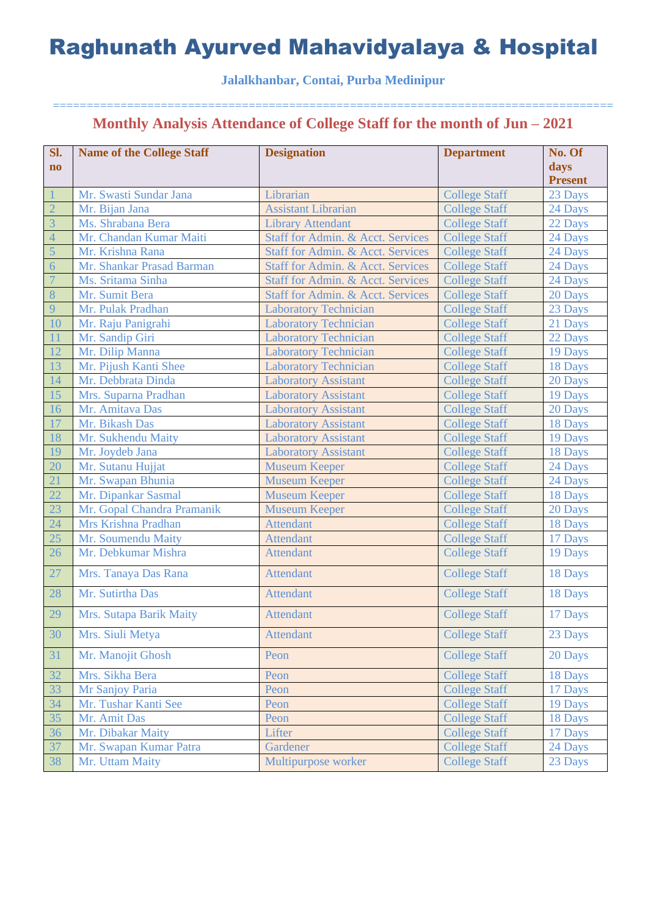### **Jalalkhanbar, Contai, Purba Medinipur**

#### =================================================================================== **Monthly Analysis Attendance of College Staff for the month of Jun – 2021**

| Sl.            | <b>Name of the College Staff</b> | <b>Designation</b>                           | <b>Department</b>    | No. Of         |
|----------------|----------------------------------|----------------------------------------------|----------------------|----------------|
| $\mathbf{no}$  |                                  |                                              |                      | days           |
|                |                                  |                                              |                      | <b>Present</b> |
|                | Mr. Swasti Sundar Jana           | Librarian                                    | <b>College Staff</b> | 23 Days        |
| $\overline{2}$ | Mr. Bijan Jana                   | <b>Assistant Librarian</b>                   | <b>College Staff</b> | 24 Days        |
| $\overline{3}$ | Ms. Shrabana Bera                | <b>Library Attendant</b>                     | <b>College Staff</b> | 22 Days        |
| $\overline{4}$ | Mr. Chandan Kumar Maiti          | Staff for Admin. & Acct. Services            | <b>College Staff</b> | 24 Days        |
| 5              | Mr. Krishna Rana                 | Staff for Admin. & Acct. Services            | <b>College Staff</b> | 24 Days        |
| 6              | Mr. Shankar Prasad Barman        | Staff for Admin. & Acct. Services            | <b>College Staff</b> | 24 Days        |
| $\overline{7}$ | Ms. Sritama Sinha                | <b>Staff for Admin. &amp; Acct. Services</b> | <b>College Staff</b> | 24 Days        |
| 8              | Mr. Sumit Bera                   | Staff for Admin. & Acct. Services            | <b>College Staff</b> | 20 Days        |
| 9              | Mr. Pulak Pradhan                | <b>Laboratory Technician</b>                 | <b>College Staff</b> | 23 Days        |
| 10             | Mr. Raju Panigrahi               | <b>Laboratory Technician</b>                 | <b>College Staff</b> | 21 Days        |
| 11             | Mr. Sandip Giri                  | <b>Laboratory Technician</b>                 | <b>College Staff</b> | 22 Days        |
| 12             | Mr. Dilip Manna                  | <b>Laboratory Technician</b>                 | <b>College Staff</b> | 19 Days        |
| 13             | Mr. Pijush Kanti Shee            | <b>Laboratory Technician</b>                 | <b>College Staff</b> | 18 Days        |
| 14             | Mr. Debbrata Dinda               | <b>Laboratory Assistant</b>                  | <b>College Staff</b> | 20 Days        |
| 15             | Mrs. Suparna Pradhan             | <b>Laboratory Assistant</b>                  | <b>College Staff</b> | 19 Days        |
| 16             | Mr. Amitava Das                  | <b>Laboratory Assistant</b>                  | <b>College Staff</b> | 20 Days        |
| 17             | Mr. Bikash Das                   | <b>Laboratory Assistant</b>                  | <b>College Staff</b> | 18 Days        |
| 18             | Mr. Sukhendu Maity               | <b>Laboratory Assistant</b>                  | <b>College Staff</b> | 19 Days        |
| 19             | Mr. Joydeb Jana                  | <b>Laboratory Assistant</b>                  | <b>College Staff</b> | 18 Days        |
| 20             | Mr. Sutanu Hujjat                | <b>Museum Keeper</b>                         | <b>College Staff</b> | 24 Days        |
| 21             | Mr. Swapan Bhunia                | <b>Museum Keeper</b>                         | <b>College Staff</b> | 24 Days        |
| 22             | Mr. Dipankar Sasmal              | <b>Museum Keeper</b>                         | <b>College Staff</b> | 18 Days        |
| 23             | Mr. Gopal Chandra Pramanik       | <b>Museum Keeper</b>                         | <b>College Staff</b> | 20 Days        |
| 24             | Mrs Krishna Pradhan              | <b>Attendant</b>                             | <b>College Staff</b> | 18 Days        |
| 25             | Mr. Soumendu Maity               | <b>Attendant</b>                             | <b>College Staff</b> | 17 Days        |
| 26             | Mr. Debkumar Mishra              | <b>Attendant</b>                             | <b>College Staff</b> | 19 Days        |
| 27             | Mrs. Tanaya Das Rana             | <b>Attendant</b>                             | <b>College Staff</b> | 18 Days        |
| 28             | Mr. Sutirtha Das                 | <b>Attendant</b>                             | <b>College Staff</b> | 18 Days        |
| 29             | Mrs. Sutapa Barik Maity          | <b>Attendant</b>                             | <b>College Staff</b> | 17 Days        |
| 30             | Mrs. Siuli Metya                 | <b>Attendant</b>                             | <b>College Staff</b> | 23 Days        |
| 31             | Mr. Manojit Ghosh                | Peon                                         | <b>College Staff</b> | 20 Days        |
| 32             | Mrs. Sikha Bera                  | Peon                                         | <b>College Staff</b> | 18 Days        |
| 33             | Mr Sanjoy Paria                  | Peon                                         | <b>College Staff</b> | 17 Days        |
| 34             | Mr. Tushar Kanti See             | Peon                                         | <b>College Staff</b> | 19 Days        |
| 35             | Mr. Amit Das                     | Peon                                         | <b>College Staff</b> | 18 Days        |
| 36             | Mr. Dibakar Maity                | Lifter                                       | <b>College Staff</b> | 17 Days        |
| 37             | Mr. Swapan Kumar Patra           | Gardener                                     | <b>College Staff</b> | 24 Days        |
| 38             | Mr. Uttam Maity                  | Multipurpose worker                          | <b>College Staff</b> | 23 Days        |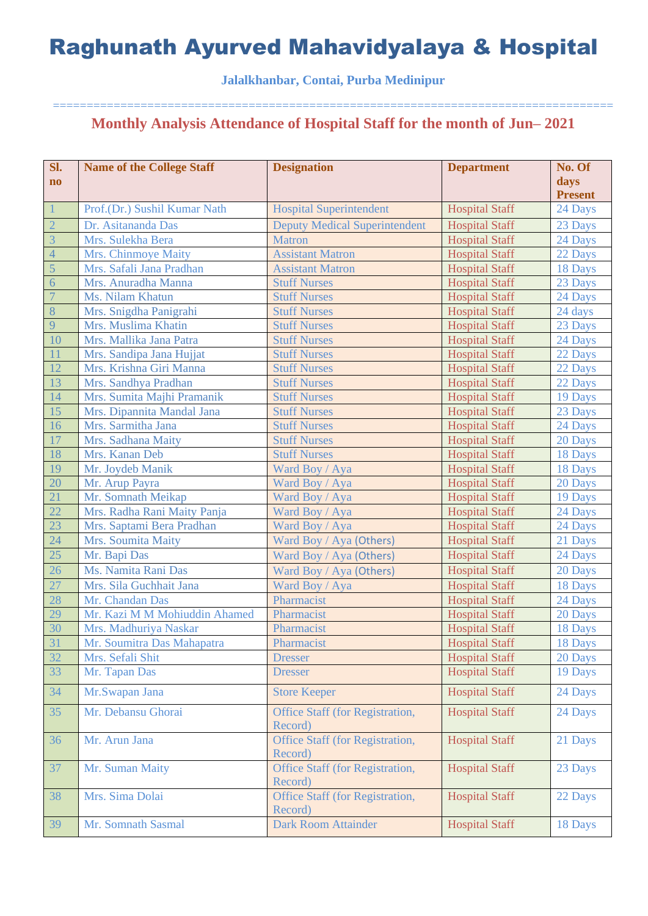### **Jalalkhanbar, Contai, Purba Medinipur**

#### =================================================================================== **Monthly Analysis Attendance of Hospital Staff for the month of Jun– 2021**

| Sl.            | <b>Name of the College Staff</b> | <b>Designation</b>                                | <b>Department</b>     | No. Of<br>days |
|----------------|----------------------------------|---------------------------------------------------|-----------------------|----------------|
| $\mathbf{no}$  |                                  |                                                   |                       | <b>Present</b> |
| $\bigoplus$    | Prof.(Dr.) Sushil Kumar Nath     | <b>Hospital Superintendent</b>                    | <b>Hospital Staff</b> | 24 Days        |
| $\overline{2}$ | Dr. Asitananda Das               | <b>Deputy Medical Superintendent</b>              | <b>Hospital Staff</b> | 23 Days        |
| 3              | Mrs. Sulekha Bera                | <b>Matron</b>                                     | <b>Hospital Staff</b> | 24 Days        |
| $\overline{4}$ | Mrs. Chinmoye Maity              | <b>Assistant Matron</b>                           | <b>Hospital Staff</b> | 22 Days        |
| $\overline{5}$ | Mrs. Safali Jana Pradhan         | <b>Assistant Matron</b>                           | <b>Hospital Staff</b> | 18 Days        |
| $\overline{6}$ | Mrs. Anuradha Manna              | <b>Stuff Nurses</b>                               | <b>Hospital Staff</b> | 23 Days        |
| $\overline{7}$ | Ms. Nilam Khatun                 | <b>Stuff Nurses</b>                               | <b>Hospital Staff</b> | 24 Days        |
| 8              | Mrs. Snigdha Panigrahi           | <b>Stuff Nurses</b>                               | <b>Hospital Staff</b> | 24 days        |
| 9              | Mrs. Muslima Khatin              | <b>Stuff Nurses</b>                               | <b>Hospital Staff</b> | 23 Days        |
| 10             | Mrs. Mallika Jana Patra          | <b>Stuff Nurses</b>                               | <b>Hospital Staff</b> | 24 Days        |
| 11             | Mrs. Sandipa Jana Hujjat         | <b>Stuff Nurses</b>                               | <b>Hospital Staff</b> | 22 Days        |
| 12             | Mrs. Krishna Giri Manna          | <b>Stuff Nurses</b>                               | <b>Hospital Staff</b> | 22 Days        |
| 13             | Mrs. Sandhya Pradhan             | <b>Stuff Nurses</b>                               | <b>Hospital Staff</b> | 22 Days        |
| 14             | Mrs. Sumita Majhi Pramanik       | <b>Stuff Nurses</b>                               | <b>Hospital Staff</b> | 19 Days        |
| 15             | Mrs. Dipannita Mandal Jana       | <b>Stuff Nurses</b>                               | <b>Hospital Staff</b> | 23 Days        |
| 16             | Mrs. Sarmitha Jana               | <b>Stuff Nurses</b>                               | <b>Hospital Staff</b> | 24 Days        |
| 17             | Mrs. Sadhana Maity               | <b>Stuff Nurses</b>                               | <b>Hospital Staff</b> | 20 Days        |
| 18             | Mrs. Kanan Deb                   | <b>Stuff Nurses</b>                               | <b>Hospital Staff</b> | 18 Days        |
| 19             | Mr. Joydeb Manik                 | Ward Boy / Aya                                    | <b>Hospital Staff</b> | 18 Days        |
| 20             | Mr. Arup Payra                   | Ward Boy / Aya                                    | <b>Hospital Staff</b> | 20 Days        |
| 21             | Mr. Somnath Meikap               | Ward Boy / Aya                                    | <b>Hospital Staff</b> | 19 Days        |
| 22             | Mrs. Radha Rani Maity Panja      | Ward Boy / Aya                                    | <b>Hospital Staff</b> | 24 Days        |
| 23             | Mrs. Saptami Bera Pradhan        | Ward Boy / Aya                                    | <b>Hospital Staff</b> | 24 Days        |
| 24             | Mrs. Soumita Maity               | Ward Boy / Aya (Others)                           | <b>Hospital Staff</b> | 21 Days        |
| 25             | Mr. Bapi Das                     | Ward Boy / Aya (Others)                           | <b>Hospital Staff</b> | 24 Days        |
| 26             | Ms. Namita Rani Das              | Ward Boy / Aya (Others)                           | <b>Hospital Staff</b> | 20 Days        |
| 27             | Mrs. Sila Guchhait Jana          | Ward Boy / Aya                                    | <b>Hospital Staff</b> | 18 Days        |
| 28             | Mr. Chandan Das                  | Pharmacist                                        | <b>Hospital Staff</b> | 24 Days        |
| 29             | Mr. Kazi M M Mohiuddin Ahamed    | Pharmacist                                        | <b>Hospital Staff</b> | 20 Days        |
| 30             | Mrs. Madhuriya Naskar            | Pharmacist                                        | <b>Hospital Staff</b> | 18 Days        |
| 31             | Mr. Soumitra Das Mahapatra       | Pharmacist                                        | <b>Hospital Staff</b> | 18 Days        |
| 32             | Mrs. Sefali Shit                 | <b>Dresser</b>                                    | <b>Hospital Staff</b> | 20 Days        |
| 33             | Mr. Tapan Das                    | <b>Dresser</b>                                    | <b>Hospital Staff</b> | 19 Days        |
| 34             | Mr.Swapan Jana                   | <b>Store Keeper</b>                               | <b>Hospital Staff</b> | 24 Days        |
| 35             | Mr. Debansu Ghorai               | Office Staff (for Registration,<br>Record)        | <b>Hospital Staff</b> | 24 Days        |
| 36             | Mr. Arun Jana                    | <b>Office Staff (for Registration,</b><br>Record) | <b>Hospital Staff</b> | 21 Days        |
| 37             | Mr. Suman Maity                  | Office Staff (for Registration,<br>Record)        | <b>Hospital Staff</b> | 23 Days        |
| 38             | Mrs. Sima Dolai                  | Office Staff (for Registration,<br>Record)        | <b>Hospital Staff</b> | 22 Days        |
| 39             | Mr. Somnath Sasmal               | <b>Dark Room Attainder</b>                        | <b>Hospital Staff</b> | 18 Days        |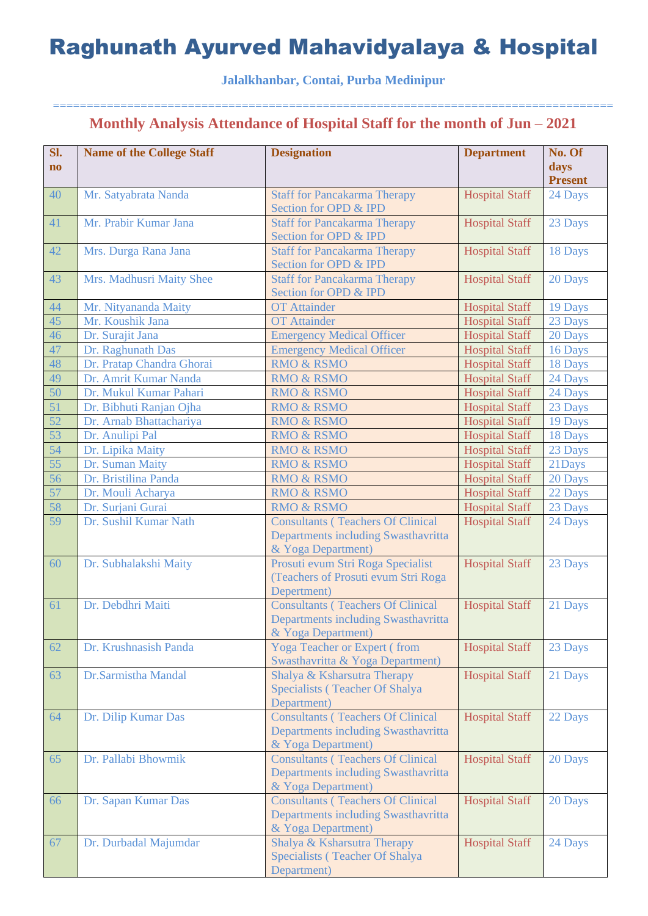### **Jalalkhanbar, Contai, Purba Medinipur**

#### =================================================================================== **Monthly Analysis Attendance of Hospital Staff for the month of Jun – 2021**

| Sl.<br>$\mathbf{no}$ | <b>Name of the College Staff</b> | <b>Designation</b>                                                                                    | <b>Department</b>     | No. Of<br>days<br><b>Present</b> |
|----------------------|----------------------------------|-------------------------------------------------------------------------------------------------------|-----------------------|----------------------------------|
| 40                   | Mr. Satyabrata Nanda             | <b>Staff for Pancakarma Therapy</b><br>Section for OPD & IPD                                          | <b>Hospital Staff</b> | 24 Days                          |
| 41                   | Mr. Prabir Kumar Jana            | <b>Staff for Pancakarma Therapy</b><br>Section for OPD & IPD                                          | <b>Hospital Staff</b> | 23 Days                          |
| 42                   | Mrs. Durga Rana Jana             | <b>Staff for Pancakarma Therapy</b><br>Section for OPD & IPD                                          | <b>Hospital Staff</b> | 18 Days                          |
| 43                   | Mrs. Madhusri Maity Shee         | <b>Staff for Pancakarma Therapy</b><br>Section for OPD & IPD                                          | <b>Hospital Staff</b> | 20 Days                          |
| 44                   | Mr. Nityananda Maity             | <b>OT</b> Attainder                                                                                   | <b>Hospital Staff</b> | 19 Days                          |
| 45                   | Mr. Koushik Jana                 | <b>OT</b> Attainder                                                                                   | <b>Hospital Staff</b> | 23 Days                          |
| 46                   | Dr. Surajit Jana                 | <b>Emergency Medical Officer</b>                                                                      | <b>Hospital Staff</b> | 20 Days                          |
| 47                   | Dr. Raghunath Das                | <b>Emergency Medical Officer</b>                                                                      | <b>Hospital Staff</b> | 16 Days                          |
| 48                   | Dr. Pratap Chandra Ghorai        | <b>RMO &amp; RSMO</b>                                                                                 | <b>Hospital Staff</b> | 18 Days                          |
| 49                   | Dr. Amrit Kumar Nanda            | <b>RMO &amp; RSMO</b>                                                                                 | <b>Hospital Staff</b> | 24 Days                          |
| 50                   | Dr. Mukul Kumar Pahari           | <b>RMO &amp; RSMO</b>                                                                                 | <b>Hospital Staff</b> | 24 Days                          |
| 51                   | Dr. Bibhuti Ranjan Ojha          | <b>RMO &amp; RSMO</b>                                                                                 | <b>Hospital Staff</b> | 23 Days                          |
| 52                   | Dr. Arnab Bhattachariya          | <b>RMO &amp; RSMO</b>                                                                                 | <b>Hospital Staff</b> | 19 Days                          |
| 53                   | Dr. Anulipi Pal                  | <b>RMO &amp; RSMO</b>                                                                                 | <b>Hospital Staff</b> | 18 Days                          |
| 54                   | Dr. Lipika Maity                 | <b>RMO &amp; RSMO</b>                                                                                 | <b>Hospital Staff</b> | 23 Days                          |
| 55                   | Dr. Suman Maity                  | <b>RMO &amp; RSMO</b>                                                                                 | <b>Hospital Staff</b> | 21Days                           |
| 56                   | Dr. Bristilina Panda             | <b>RMO &amp; RSMO</b>                                                                                 | <b>Hospital Staff</b> | 20 Days                          |
| 57                   | Dr. Mouli Acharya                | <b>RMO &amp; RSMO</b>                                                                                 | <b>Hospital Staff</b> | 22 Days                          |
| 58                   | Dr. Surjani Gurai                | <b>RMO &amp; RSMO</b>                                                                                 | <b>Hospital Staff</b> | 23 Days                          |
| 59                   | Dr. Sushil Kumar Nath            | <b>Consultants (Teachers Of Clinical</b><br>Departments including Swasthavritta<br>& Yoga Department) | <b>Hospital Staff</b> | 24 Days                          |
| 60                   | Dr. Subhalakshi Maity            | Prosuti evum Stri Roga Specialist<br>(Teachers of Prosuti evum Stri Roga<br>Depertment)               | <b>Hospital Staff</b> | 23 Days                          |
| 61                   | Dr. Debdhri Maiti                | <b>Consultants (Teachers Of Clinical</b><br>Departments including Swasthavritta<br>& Yoga Department) | <b>Hospital Staff</b> | 21 Days                          |
| 62                   | Dr. Krushnasish Panda            | <b>Yoga Teacher or Expert (from</b><br>Swasthavritta & Yoga Department)                               | <b>Hospital Staff</b> | 23 Days                          |
| 63                   | Dr.Sarmistha Mandal              | Shalya & Ksharsutra Therapy<br>Specialists (Teacher Of Shalya<br>Department)                          | <b>Hospital Staff</b> | 21 Days                          |
| 64                   | Dr. Dilip Kumar Das              | <b>Consultants (Teachers Of Clinical</b><br>Departments including Swasthavritta<br>& Yoga Department) | <b>Hospital Staff</b> | 22 Days                          |
| 65                   | Dr. Pallabi Bhowmik              | <b>Consultants (Teachers Of Clinical</b><br>Departments including Swasthavritta<br>& Yoga Department) | <b>Hospital Staff</b> | 20 Days                          |
| 66                   | Dr. Sapan Kumar Das              | <b>Consultants (Teachers Of Clinical</b><br>Departments including Swasthavritta<br>& Yoga Department) | <b>Hospital Staff</b> | 20 Days                          |
| 67                   | Dr. Durbadal Majumdar            | Shalya & Ksharsutra Therapy<br>Specialists (Teacher Of Shalya<br>Department)                          | <b>Hospital Staff</b> | 24 Days                          |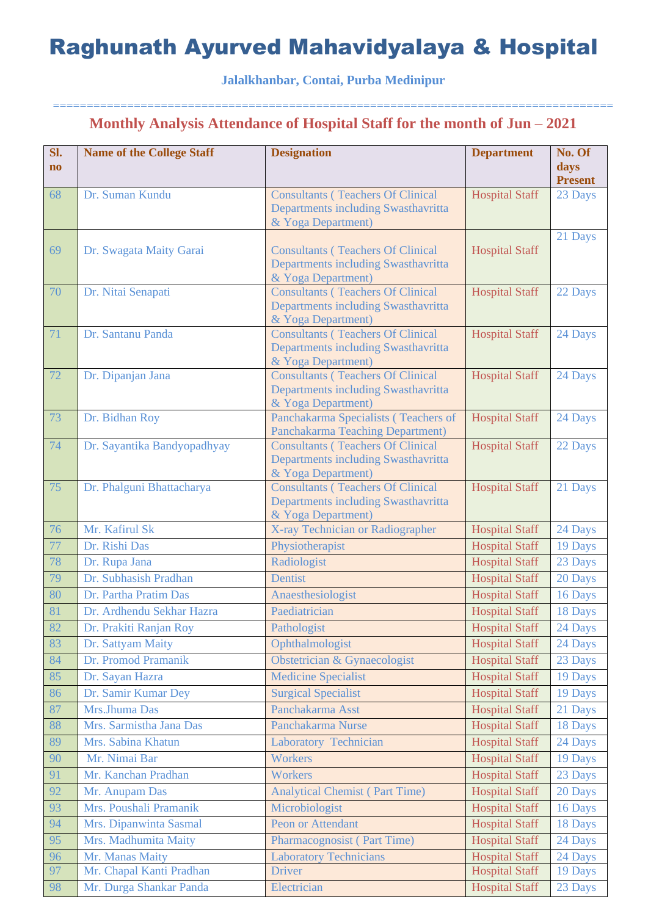### **Jalalkhanbar, Contai, Purba Medinipur**

#### =================================================================================== **Monthly Analysis Attendance of Hospital Staff for the month of Jun – 2021**

| Sl.<br>$\mathbf{n}\mathbf{o}$ | <b>Name of the College Staff</b>               | <b>Designation</b>                                                                                    | <b>Department</b>                              | No. Of<br>days<br><b>Present</b> |
|-------------------------------|------------------------------------------------|-------------------------------------------------------------------------------------------------------|------------------------------------------------|----------------------------------|
| 68                            | Dr. Suman Kundu                                | <b>Consultants (Teachers Of Clinical</b><br>Departments including Swasthavritta<br>& Yoga Department) | <b>Hospital Staff</b>                          | 23 Days                          |
| 69                            | Dr. Swagata Maity Garai                        | <b>Consultants (Teachers Of Clinical</b><br>Departments including Swasthavritta<br>& Yoga Department) | <b>Hospital Staff</b>                          | 21 Days                          |
| 70                            | Dr. Nitai Senapati                             | <b>Consultants (Teachers Of Clinical</b><br>Departments including Swasthavritta<br>& Yoga Department) | <b>Hospital Staff</b>                          | 22 Days                          |
| 71                            | Dr. Santanu Panda                              | <b>Consultants (Teachers Of Clinical</b><br>Departments including Swasthavritta<br>& Yoga Department) | <b>Hospital Staff</b>                          | 24 Days                          |
| 72                            | Dr. Dipanjan Jana                              | <b>Consultants (Teachers Of Clinical</b><br>Departments including Swasthavritta<br>& Yoga Department) | <b>Hospital Staff</b>                          | 24 Days                          |
| 73                            | Dr. Bidhan Roy                                 | Panchakarma Specialists (Teachers of<br>Panchakarma Teaching Department)                              | <b>Hospital Staff</b>                          | 24 Days                          |
| 74                            | Dr. Sayantika Bandyopadhyay                    | <b>Consultants (Teachers Of Clinical</b><br>Departments including Swasthavritta<br>& Yoga Department) | <b>Hospital Staff</b>                          | 22 Days                          |
| 75                            | Dr. Phalguni Bhattacharya                      | <b>Consultants (Teachers Of Clinical</b><br>Departments including Swasthavritta<br>& Yoga Department) | <b>Hospital Staff</b>                          | 21 Days                          |
| 76                            | Mr. Kafirul Sk                                 | X-ray Technician or Radiographer                                                                      | <b>Hospital Staff</b>                          | 24 Days                          |
| 77                            | Dr. Rishi Das                                  | Physiotherapist                                                                                       | <b>Hospital Staff</b>                          | 19 Days                          |
| 78                            | Dr. Rupa Jana                                  | Radiologist                                                                                           | <b>Hospital Staff</b>                          | 23 Days                          |
| 79                            | Dr. Subhasish Pradhan                          | Dentist                                                                                               | <b>Hospital Staff</b>                          | 20 Days                          |
| 80                            | Dr. Partha Pratim Das                          | Anaesthesiologist                                                                                     | <b>Hospital Staff</b>                          | 16 Days                          |
| 81                            | Dr. Ardhendu Sekhar Hazra                      | Paediatrician                                                                                         | <b>Hospital Staff</b>                          | 18 Days                          |
| 82                            | Dr. Prakiti Ranjan Roy                         | Pathologist                                                                                           | <b>Hospital Staff</b>                          | 24 Days                          |
| 83                            | Dr. Sattyam Maity                              | Ophthalmologist                                                                                       | <b>Hospital Staff</b>                          | 24 Days                          |
| 84                            | Dr. Promod Pramanik                            | Obstetrician & Gynaecologist                                                                          | <b>Hospital Staff</b>                          | 23 Days                          |
| 85                            | Dr. Sayan Hazra                                | <b>Medicine Specialist</b>                                                                            | <b>Hospital Staff</b>                          | 19 Days                          |
| 86                            | Dr. Samir Kumar Dey                            | <b>Surgical Specialist</b>                                                                            | <b>Hospital Staff</b>                          | 19 Days                          |
| 87                            | Mrs.Jhuma Das                                  | Panchakarma Asst                                                                                      | <b>Hospital Staff</b>                          | 21 Days                          |
| 88                            | Mrs. Sarmistha Jana Das                        | Panchakarma Nurse                                                                                     | <b>Hospital Staff</b>                          | 18 Days                          |
| 89                            | Mrs. Sabina Khatun                             | <b>Laboratory Technician</b>                                                                          | <b>Hospital Staff</b>                          | 24 Days                          |
| 90                            | Mr. Nimai Bar                                  | Workers                                                                                               | <b>Hospital Staff</b>                          | 19 Days                          |
| 91                            | Mr. Kanchan Pradhan                            | Workers                                                                                               | <b>Hospital Staff</b>                          | 23 Days                          |
| 92                            | Mr. Anupam Das                                 | <b>Analytical Chemist (Part Time)</b>                                                                 | <b>Hospital Staff</b>                          | 20 Days                          |
| 93                            | Mrs. Poushali Pramanik                         | Microbiologist<br>Peon or Attendant                                                                   | <b>Hospital Staff</b>                          | 16 Days                          |
| 94<br>95                      | Mrs. Dipanwinta Sasmal<br>Mrs. Madhumita Maity |                                                                                                       | <b>Hospital Staff</b>                          | 18 Days                          |
| 96                            | Mr. Manas Maity                                | Pharmacognosist (Part Time)<br><b>Laboratory Technicians</b>                                          | <b>Hospital Staff</b><br><b>Hospital Staff</b> | 24 Days<br>24 Days               |
| 97                            | Mr. Chapal Kanti Pradhan                       | Driver                                                                                                | <b>Hospital Staff</b>                          | 19 Days                          |
| 98                            | Mr. Durga Shankar Panda                        | Electrician                                                                                           | <b>Hospital Staff</b>                          | 23 Days                          |